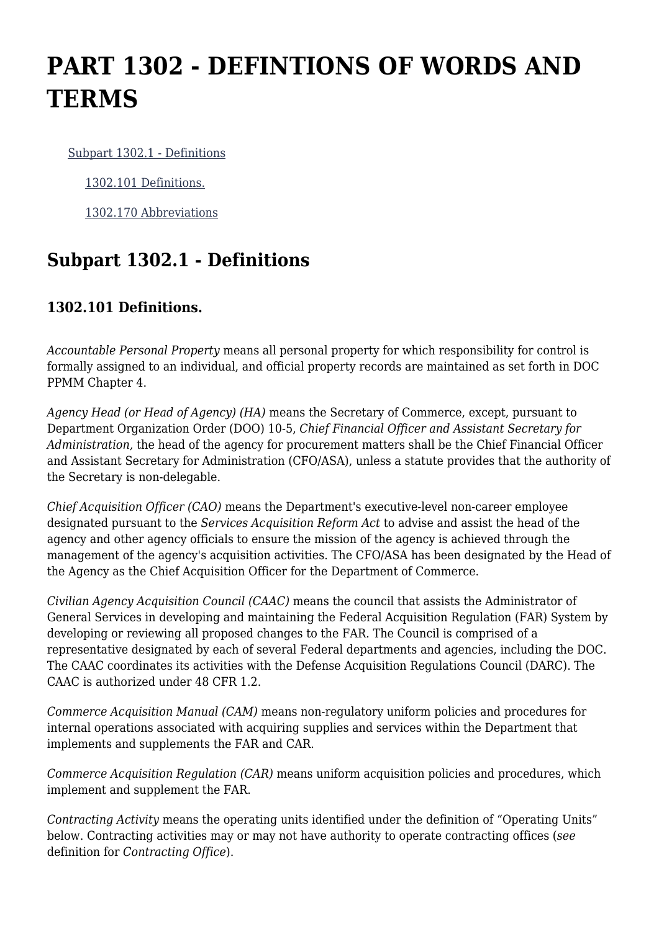## **PART 1302 - DEFINTIONS OF WORDS AND TERMS**

[Subpart 1302.1 - Definitions](https://login.acquisition.gov/%5Brp:link:car-part-1302%5D#Subpart_1302_1_T48_5064331)

[1302.101 Definitions.](https://login.acquisition.gov/%5Brp:link:car-part-1302%5D#Section_1302_101_T48_506433111)

[1302.170 Abbreviations](https://login.acquisition.gov/%5Brp:link:car-part-1302%5D#Section_1302_170_T48_506433112)

## **Subpart 1302.1 - Definitions**

## **1302.101 Definitions.**

*Accountable Personal Property* means all personal property for which responsibility for control is formally assigned to an individual, and official property records are maintained as set forth in DOC PPMM Chapter 4.

*Agency Head (or Head of Agency) (HA)* means the Secretary of Commerce, except, pursuant to Department Organization Order (DOO) 10-5, *Chief Financial Officer and Assistant Secretary for Administration,* the head of the agency for procurement matters shall be the Chief Financial Officer and Assistant Secretary for Administration (CFO/ASA), unless a statute provides that the authority of the Secretary is non-delegable.

*Chief Acquisition Officer (CAO)* means the Department's executive-level non-career employee designated pursuant to the *Services Acquisition Reform Act* to advise and assist the head of the agency and other agency officials to ensure the mission of the agency is achieved through the management of the agency's acquisition activities. The CFO/ASA has been designated by the Head of the Agency as the Chief Acquisition Officer for the Department of Commerce.

*Civilian Agency Acquisition Council (CAAC)* means the council that assists the Administrator of General Services in developing and maintaining the Federal Acquisition Regulation (FAR) System by developing or reviewing all proposed changes to the FAR. The Council is comprised of a representative designated by each of several Federal departments and agencies, including the DOC. The CAAC coordinates its activities with the Defense Acquisition Regulations Council (DARC). The CAAC is authorized under 48 CFR 1.2.

*Commerce Acquisition Manual (CAM)* means non-regulatory uniform policies and procedures for internal operations associated with acquiring supplies and services within the Department that implements and supplements the FAR and CAR.

*Commerce Acquisition Regulation (CAR)* means uniform acquisition policies and procedures, which implement and supplement the FAR.

*Contracting Activity* means the operating units identified under the definition of "Operating Units" below. Contracting activities may or may not have authority to operate contracting offices (*see* definition for *Contracting Office*).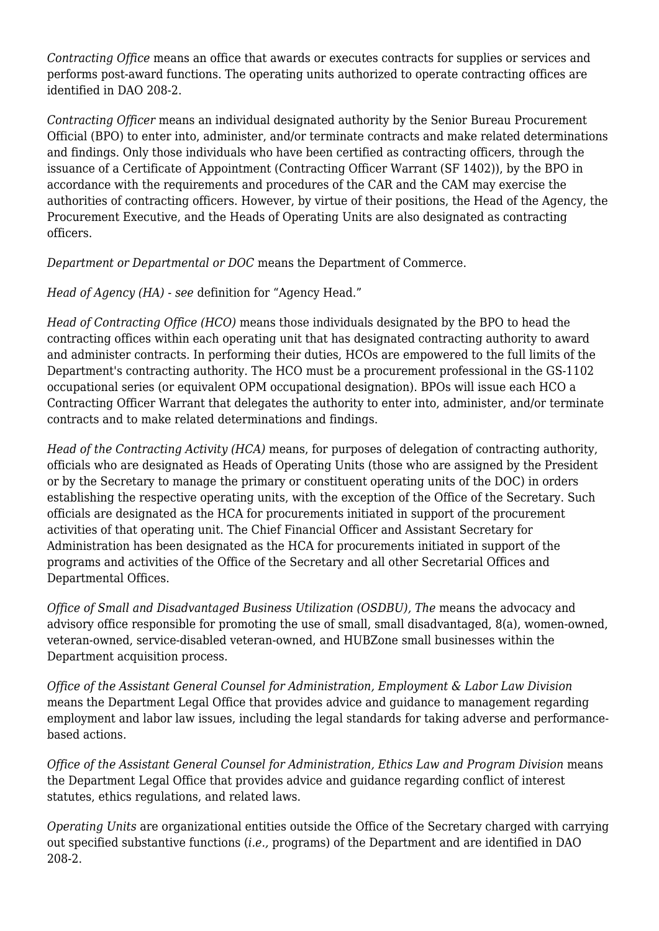*Contracting Office* means an office that awards or executes contracts for supplies or services and performs post-award functions. The operating units authorized to operate contracting offices are identified in DAO 208-2.

*Contracting Officer* means an individual designated authority by the Senior Bureau Procurement Official (BPO) to enter into, administer, and/or terminate contracts and make related determinations and findings. Only those individuals who have been certified as contracting officers, through the issuance of a Certificate of Appointment (Contracting Officer Warrant (SF 1402)), by the BPO in accordance with the requirements and procedures of the CAR and the CAM may exercise the authorities of contracting officers. However, by virtue of their positions, the Head of the Agency, the Procurement Executive, and the Heads of Operating Units are also designated as contracting officers.

*Department or Departmental or DOC* means the Department of Commerce.

*Head of Agency (HA)* - *see* definition for "Agency Head."

*Head of Contracting Office (HCO)* means those individuals designated by the BPO to head the contracting offices within each operating unit that has designated contracting authority to award and administer contracts. In performing their duties, HCOs are empowered to the full limits of the Department's contracting authority. The HCO must be a procurement professional in the GS-1102 occupational series (or equivalent OPM occupational designation). BPOs will issue each HCO a Contracting Officer Warrant that delegates the authority to enter into, administer, and/or terminate contracts and to make related determinations and findings.

*Head of the Contracting Activity (HCA)* means, for purposes of delegation of contracting authority, officials who are designated as Heads of Operating Units (those who are assigned by the President or by the Secretary to manage the primary or constituent operating units of the DOC) in orders establishing the respective operating units, with the exception of the Office of the Secretary. Such officials are designated as the HCA for procurements initiated in support of the procurement activities of that operating unit. The Chief Financial Officer and Assistant Secretary for Administration has been designated as the HCA for procurements initiated in support of the programs and activities of the Office of the Secretary and all other Secretarial Offices and Departmental Offices.

*Office of Small and Disadvantaged Business Utilization (OSDBU), The* means the advocacy and advisory office responsible for promoting the use of small, small disadvantaged, 8(a), women-owned, veteran-owned, service-disabled veteran-owned, and HUBZone small businesses within the Department acquisition process.

*Office of the Assistant General Counsel for Administration, Employment & Labor Law Division* means the Department Legal Office that provides advice and guidance to management regarding employment and labor law issues, including the legal standards for taking adverse and performancebased actions.

*Office of the Assistant General Counsel for Administration, Ethics Law and Program Division* means the Department Legal Office that provides advice and guidance regarding conflict of interest statutes, ethics regulations, and related laws.

*Operating Units* are organizational entities outside the Office of the Secretary charged with carrying out specified substantive functions (*i.e.,* programs) of the Department and are identified in DAO 208-2.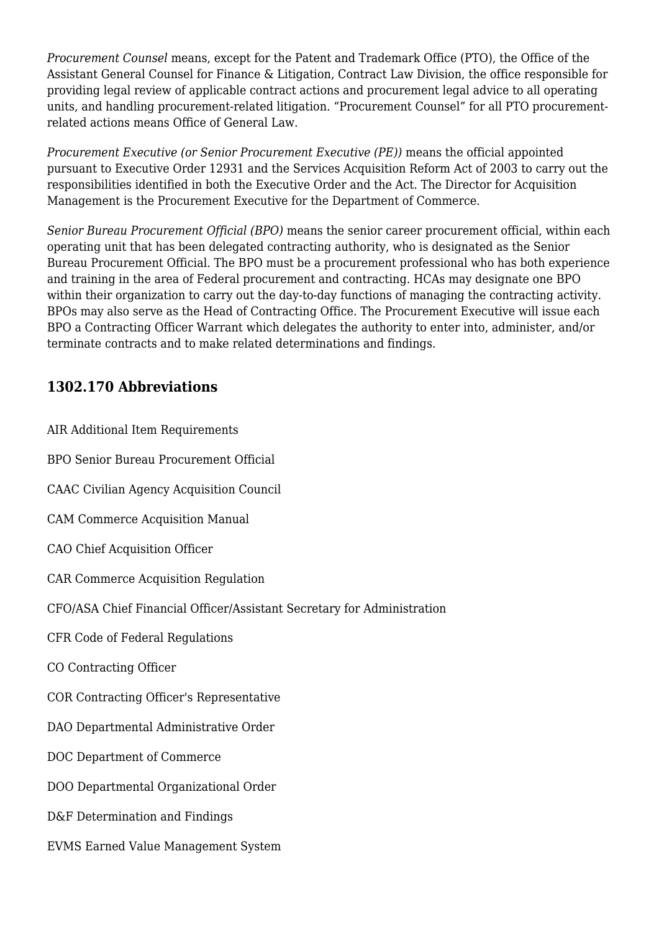*Procurement Counsel* means, except for the Patent and Trademark Office (PTO), the Office of the Assistant General Counsel for Finance & Litigation, Contract Law Division, the office responsible for providing legal review of applicable contract actions and procurement legal advice to all operating units, and handling procurement-related litigation. "Procurement Counsel" for all PTO procurementrelated actions means Office of General Law.

*Procurement Executive (or Senior Procurement Executive (PE))* means the official appointed pursuant to Executive Order 12931 and the Services Acquisition Reform Act of 2003 to carry out the responsibilities identified in both the Executive Order and the Act. The Director for Acquisition Management is the Procurement Executive for the Department of Commerce.

*Senior Bureau Procurement Official (BPO)* means the senior career procurement official, within each operating unit that has been delegated contracting authority, who is designated as the Senior Bureau Procurement Official. The BPO must be a procurement professional who has both experience and training in the area of Federal procurement and contracting. HCAs may designate one BPO within their organization to carry out the day-to-day functions of managing the contracting activity. BPOs may also serve as the Head of Contracting Office. The Procurement Executive will issue each BPO a Contracting Officer Warrant which delegates the authority to enter into, administer, and/or terminate contracts and to make related determinations and findings.

## **1302.170 Abbreviations**

| AIR Additional Item Requirements                                       |
|------------------------------------------------------------------------|
| BPO Senior Bureau Procurement Official                                 |
| CAAC Civilian Agency Acquisition Council                               |
| <b>CAM Commerce Acquisition Manual</b>                                 |
| CAO Chief Acquisition Officer                                          |
| <b>CAR Commerce Acquisition Regulation</b>                             |
| CFO/ASA Chief Financial Officer/Assistant Secretary for Administration |
| <b>CFR Code of Federal Regulations</b>                                 |
| CO Contracting Officer                                                 |
| COR Contracting Officer's Representative                               |
| DAO Departmental Administrative Order                                  |
| DOC Department of Commerce                                             |
| DOO Departmental Organizational Order                                  |
| D&F Determination and Findings                                         |
| <b>EVMS Earned Value Management System</b>                             |
|                                                                        |